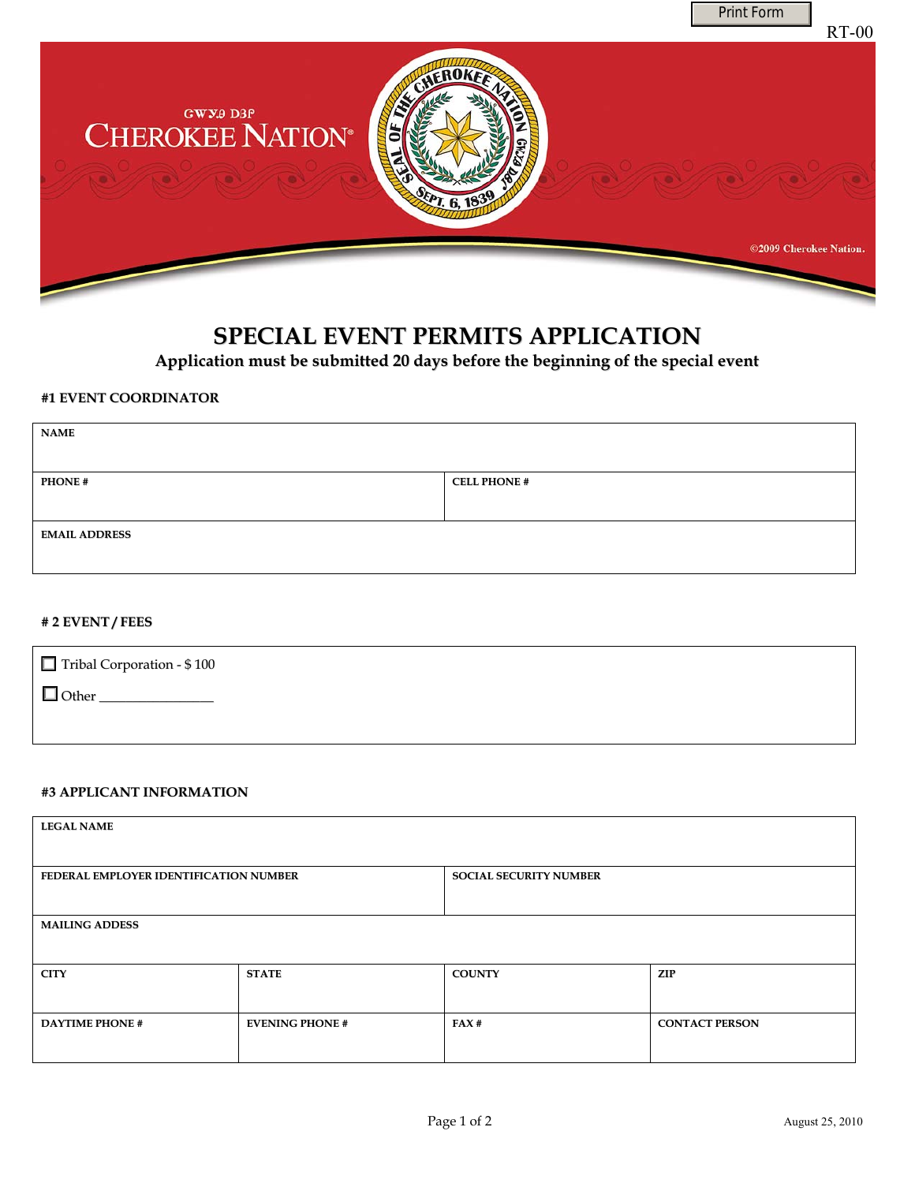

## **SPECIAL EVENT PERMITS APPLICATION**

**Application must be submitted 20 days before the beginning of the special event**

## **#1 EVENT COORDINATOR**

| <b>NAME</b>          |                     |  |
|----------------------|---------------------|--|
|                      |                     |  |
| <b>PHONE#</b>        | <b>CELL PHONE #</b> |  |
|                      |                     |  |
| <b>EMAIL ADDRESS</b> |                     |  |
|                      |                     |  |

## **# 2 EVENT / FEES**

| Tribal Corporation - \$100 |  |
|----------------------------|--|
| $\Box$ Other               |  |
|                            |  |

## **#3 APPLICANT INFORMATION**

| <b>LEGAL NAME</b>                      |                        |                               |                       |  |  |
|----------------------------------------|------------------------|-------------------------------|-----------------------|--|--|
| FEDERAL EMPLOYER IDENTIFICATION NUMBER |                        | <b>SOCIAL SECURITY NUMBER</b> |                       |  |  |
| <b>MAILING ADDESS</b>                  |                        |                               |                       |  |  |
| <b>CITY</b>                            | <b>STATE</b>           | <b>COUNTY</b>                 | ZIP                   |  |  |
| <b>DAYTIME PHONE #</b>                 | <b>EVENING PHONE #</b> | FAX#                          | <b>CONTACT PERSON</b> |  |  |